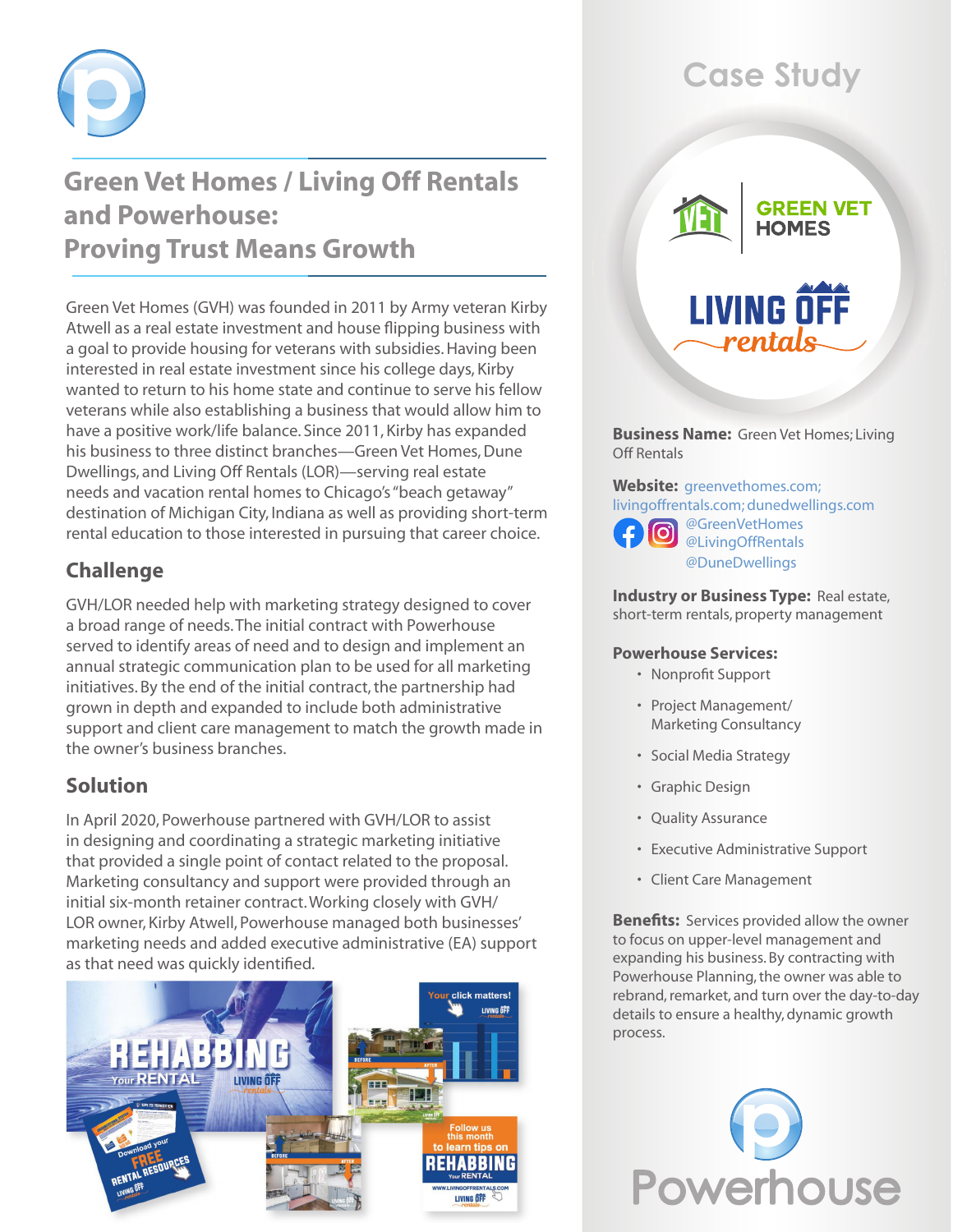

## **Green Vet Homes / Living Off Rentals and Powerhouse: Proving Trust Means Growth**

Green Vet Homes (GVH) was founded in 2011 by Army veteran Kirby Atwell as a real estate investment and house flipping business with a goal to provide housing for veterans with subsidies. Having been interested in real estate investment since his college days, Kirby wanted to return to his home state and continue to serve his fellow veterans while also establishing a business that would allow him to have a positive work/life balance. Since 2011, Kirby has expanded his business to three distinct branches—Green Vet Homes, Dune Dwellings, and Living Off Rentals (LOR)—serving real estate needs and vacation rental homes to Chicago's "beach getaway" destination of Michigan City, Indiana as well as providing short-term rental education to those interested in pursuing that career choice.

## **Challenge**

GVH/LOR needed help with marketing strategy designed to cover a broad range of needs. The initial contract with Powerhouse served to identify areas of need and to design and implement an annual strategic communication plan to be used for all marketing initiatives. By the end of the initial contract, the partnership had grown in depth and expanded to include both administrative support and client care management to match the growth made in the owner's business branches.

### **Solution**

In April 2020, Powerhouse partnered with GVH/LOR to assist in designing and coordinating a strategic marketing initiative that provided a single point of contact related to the proposal. Marketing consultancy and support were provided through an initial six-month retainer contract. Working closely with GVH/ LOR owner, Kirby Atwell, Powerhouse managed both businesses' marketing needs and added executive administrative (EA) support as that need was quickly identified.



# **Case Study**



**Business Name:** Green Vet Homes; Living Off Rentals

**Website:** [greenvethomes.com;](https://www.greenvethomes.com/) [livingoffrentals.com;](https://www.livingoffrentals.com/) [dunedwellings.com](http://www.dunedwellings.com)



@GreenVetHomes @LivingOffRentals @DuneDwelling[s](www.cape-henry.com)

**Industry or Business Type: Real estate,** short-term rentals, property management

#### **Powerhouse Services:**

- • Nonprofit Support
- • Project Management/ Marketing Consultancy
- • Social Media Strategy
- • Graphic Design
- • Quality Assurance
- • Executive Administrative Support
- • Client Care Management

**Benefits:** Services provided allow the owner to focus on upper-level management and expanding his business. By contracting with Powerhouse Planning, the owner was able to rebrand, remarket, and turn over the day-to-day details to ensure a healthy, dynamic growth process.